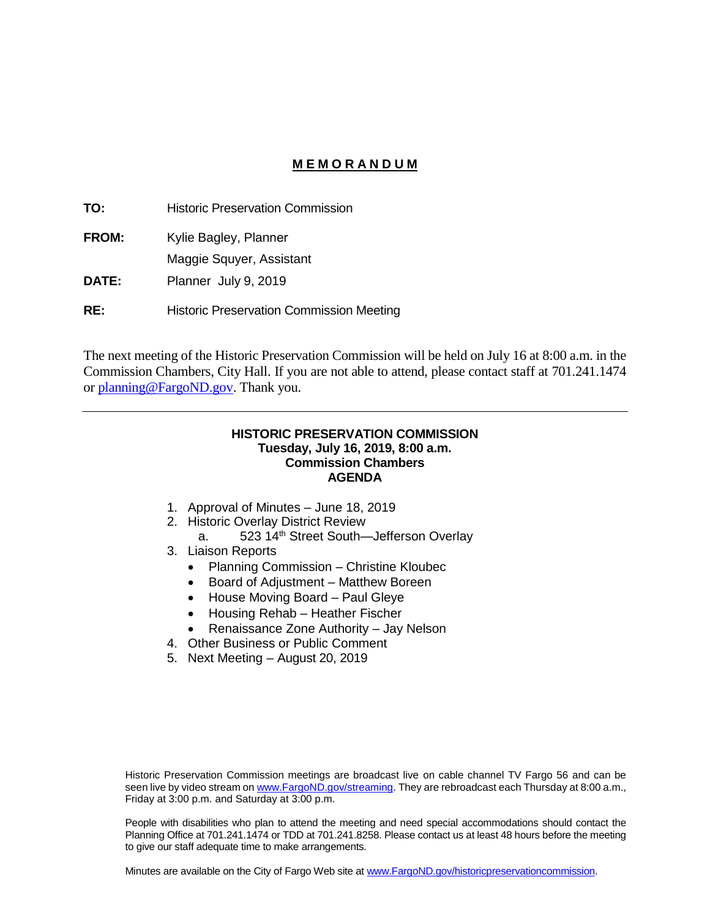## **M E M O R A N D U M**

**TO:** Historic Preservation Commission **FROM: DATE:** Kylie Bagley, Planner Maggie Squyer, Assistant Planner July 9, 2019 **RE:** Historic Preservation Commission Meeting

The next meeting of the Historic Preservation Commission will be held on July 16 at 8:00 a.m. in the Commission Chambers, City Hall. If you are not able to attend, please contact staff at 701.241.1474 or [planning@FargoND.gov.](mailto:planning@FargoND.gov) Thank you.

#### **HISTORIC PRESERVATION COMMISSION Tuesday, July 16, 2019, 8:00 a.m. Commission Chambers AGENDA**

- 1. Approval of Minutes June 18, 2019
- 2. Historic Overlay District Review
	- a. 523 14<sup>th</sup> Street South—Jefferson Overlay
- 3. Liaison Reports
	- Planning Commission Christine Kloubec
	- Board of Adjustment Matthew Boreen
	- House Moving Board Paul Gleye
	- Housing Rehab Heather Fischer
	- Renaissance Zone Authority Jay Nelson
- 4. Other Business or Public Comment
- 5. Next Meeting August 20, 2019

Historic Preservation Commission meetings are broadcast live on cable channel TV Fargo 56 and can be seen live by video stream o[n www.FargoND.gov/streaming.](http://www.fargond.gov/streaming) They are rebroadcast each Thursday at 8:00 a.m., Friday at 3:00 p.m. and Saturday at 3:00 p.m.

People with disabilities who plan to attend the meeting and need special accommodations should contact the Planning Office at 701.241.1474 or TDD at 701.241.8258. Please contact us at least 48 hours before the meeting to give our staff adequate time to make arrangements.

Minutes are available on the City of Fargo Web site a[t www.FargoND.gov/historicpreservationcommission.](http://www.fargond.gov/historicpreservationcommission)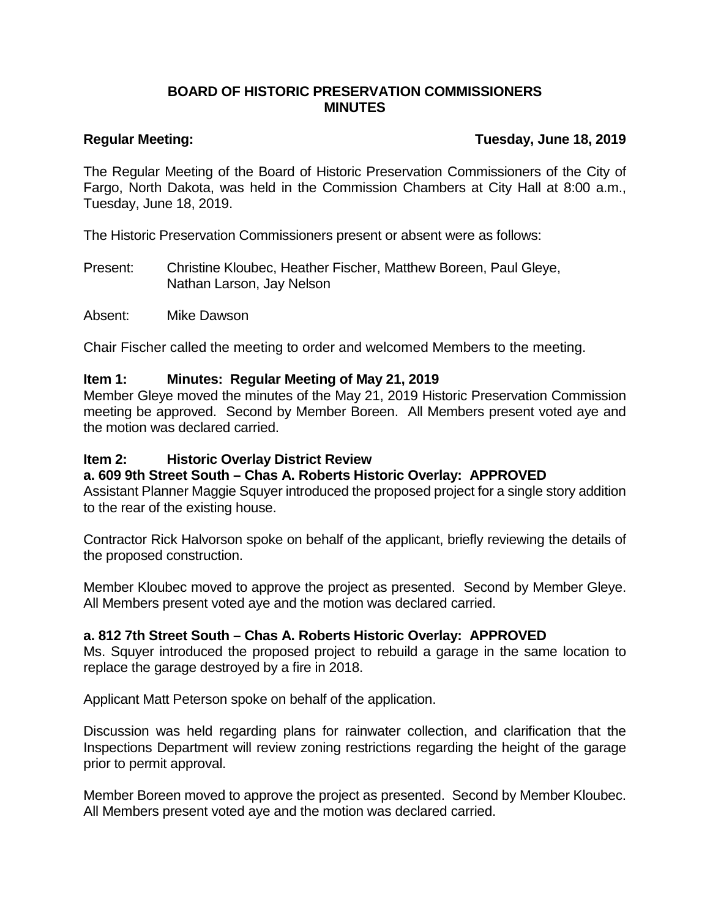## **BOARD OF HISTORIC PRESERVATION COMMISSIONERS MINUTES**

# **Regular Meeting: Tuesday, June 18, 2019**

The Regular Meeting of the Board of Historic Preservation Commissioners of the City of Fargo, North Dakota, was held in the Commission Chambers at City Hall at 8:00 a.m., Tuesday, June 18, 2019.

The Historic Preservation Commissioners present or absent were as follows:

Present: Christine Kloubec, Heather Fischer, Matthew Boreen, Paul Gleye, Nathan Larson, Jay Nelson

Absent: Mike Dawson

Chair Fischer called the meeting to order and welcomed Members to the meeting.

## **Item 1: Minutes: Regular Meeting of May 21, 2019**

Member Gleye moved the minutes of the May 21, 2019 Historic Preservation Commission meeting be approved. Second by Member Boreen. All Members present voted aye and the motion was declared carried.

## **Item 2: Historic Overlay District Review**

# **a. 609 9th Street South – Chas A. Roberts Historic Overlay: APPROVED**

Assistant Planner Maggie Squyer introduced the proposed project for a single story addition to the rear of the existing house.

Contractor Rick Halvorson spoke on behalf of the applicant, briefly reviewing the details of the proposed construction.

Member Kloubec moved to approve the project as presented. Second by Member Gleye. All Members present voted aye and the motion was declared carried.

# **a. 812 7th Street South – Chas A. Roberts Historic Overlay: APPROVED**

Ms. Squyer introduced the proposed project to rebuild a garage in the same location to replace the garage destroyed by a fire in 2018.

Applicant Matt Peterson spoke on behalf of the application.

Discussion was held regarding plans for rainwater collection, and clarification that the Inspections Department will review zoning restrictions regarding the height of the garage prior to permit approval.

Member Boreen moved to approve the project as presented. Second by Member Kloubec. All Members present voted aye and the motion was declared carried.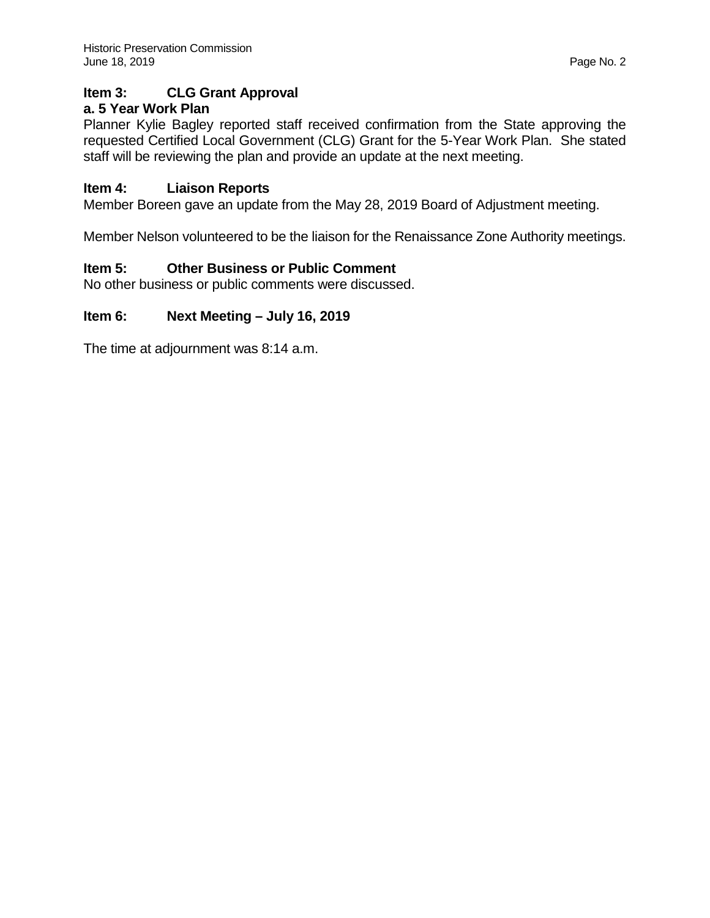# **Item 3: CLG Grant Approval**

# **a. 5 Year Work Plan**

Planner Kylie Bagley reported staff received confirmation from the State approving the requested Certified Local Government (CLG) Grant for the 5-Year Work Plan. She stated staff will be reviewing the plan and provide an update at the next meeting.

# **Item 4: Liaison Reports**

Member Boreen gave an update from the May 28, 2019 Board of Adjustment meeting.

Member Nelson volunteered to be the liaison for the Renaissance Zone Authority meetings.

# **Item 5: Other Business or Public Comment**

No other business or public comments were discussed.

# **Item 6: Next Meeting – July 16, 2019**

The time at adjournment was 8:14 a.m.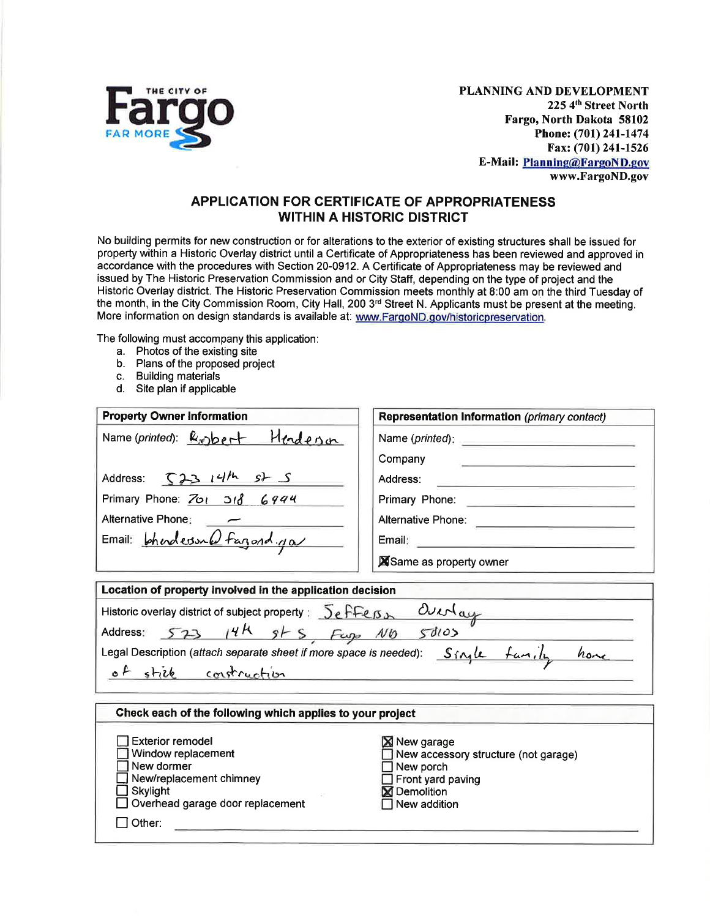

PLANNING AND DEVELOPMENT 225 4th Street North Fargo, North Dakota 58102 Phone: (701) 241-1474 Fax: (701) 241-1526 **E-Mail: Planning@FargoND.gov** www.FargoND.gov

## **APPLICATION FOR CERTIFICATE OF APPROPRIATENESS WITHIN A HISTORIC DISTRICT**

No building permits for new construction or for alterations to the exterior of existing structures shall be issued for property within a Historic Overlay district until a Certificate of Appropriateness has been reviewed and approved in accordance with the procedures with Section 20-0912. A Certificate of Appropriateness may be reviewed and issued by The Historic Preservation Commission and or City Staff, depending on the type of project and the Historic Overlay district. The Historic Preservation Commission meets monthly at 8:00 am on the third Tuesday of the month, in the City Commission Room, City Hall, 200 3<sup>rd</sup> Street N. Applicants must be present at the meeting. More information on design standards is available at: www.FargoND.gov/historicpreservation.

The following must accompany this application:

- a. Photos of the existing site
- b. Plans of the proposed project
- c. Building materials

 $\Box$  Other:

d. Site plan if applicable

| <b>Property Owner Information</b>                                                                                                                                                                                                                                                      | <b>Representation Information (primary contact)</b>                                                                                                                                                                           |  |  |
|----------------------------------------------------------------------------------------------------------------------------------------------------------------------------------------------------------------------------------------------------------------------------------------|-------------------------------------------------------------------------------------------------------------------------------------------------------------------------------------------------------------------------------|--|--|
| Name(printed): $R_{\odot}$ bert Henderson                                                                                                                                                                                                                                              | Name (printed): example and a series of the series of the series of the series of the series of the series of the series of the series of the series of the series of the series of the series of the series of the series of |  |  |
|                                                                                                                                                                                                                                                                                        | Company<br><u> 1980 - Jan Bernard Bernard, mars and de la propinsion de la propinsion de la propinsion de la propinsion de la</u>                                                                                             |  |  |
| Address: $\int 23  4/h$ st S                                                                                                                                                                                                                                                           | Address:<br><u> De Carlos de la Carlos de Carlos de la Carlos de la Carlos de la Carlos de la Carlos de la Carlos de la Carlo</u>                                                                                             |  |  |
| Primary Phone: $\frac{701}{101}$ 318 6994                                                                                                                                                                                                                                              | Primary Phone: <b>Contract Primary Phone:</b>                                                                                                                                                                                 |  |  |
| Alternative Phone:                                                                                                                                                                                                                                                                     |                                                                                                                                                                                                                               |  |  |
| Email: phendersund fargond.ga                                                                                                                                                                                                                                                          |                                                                                                                                                                                                                               |  |  |
|                                                                                                                                                                                                                                                                                        | Same as property owner                                                                                                                                                                                                        |  |  |
| Location of property involved in the application decision<br>Historic overlay district of subject property: $5effens$ Outrlay<br>Address: 573 14h st S Fugs Nb 50103<br>Legal Description (attach separate sheet if more space is needed): Single family home<br>of still construction |                                                                                                                                                                                                                               |  |  |
| Check each of the following which applies to your project                                                                                                                                                                                                                              |                                                                                                                                                                                                                               |  |  |
| <b>Exterior remodel</b><br>Window replacement<br>New dormer<br>New/replacement chimney<br>Skylight<br>Overhead garage door replacement                                                                                                                                                 | ⊠ New garage<br>New accessory structure (not garage)<br>New porch<br>Front yard paving<br><b>X</b> Demolition<br>New addition                                                                                                 |  |  |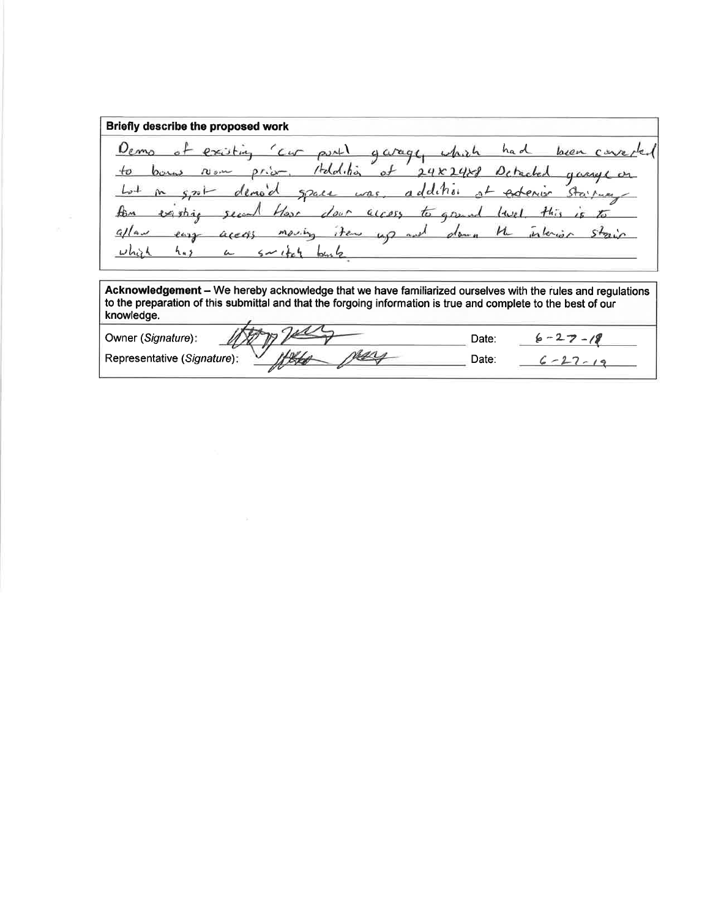Briefly describe the proposed work  $\rho_{emo}$ car partly garage, which had been concreexisting Holdition  $\circ f$  $24x24x8$  $+o$  $\rho r \sim$ Detached Non gary in addition  $L_{v+}$  $5, 20$ demod of exterior Stairway  $5241$  $C = C$ existic  $400055$ door  $H_i$ 七  $\iota$ Host to greend  $1 + 1$ interior  $40$  and  $\mu$  $s_{\tau}$  $m\rho\nu_{\mu}$  $Q/|a|$ items  $d_{\bm{b}+\bm{b}}$  $e_{412}$  $a$ ce  $h_{4,3}$ L

Acknowledgement - We hereby acknowledge that we have familiarized ourselves with the rules and regulations to the preparation of this submittal and that the forgoing information is true and complete to the best of our knowledge.

Owner (Signature): Date:  $6 - 27 - 18$ rey Representative (Signature): Date:  $6 - 27 - 19$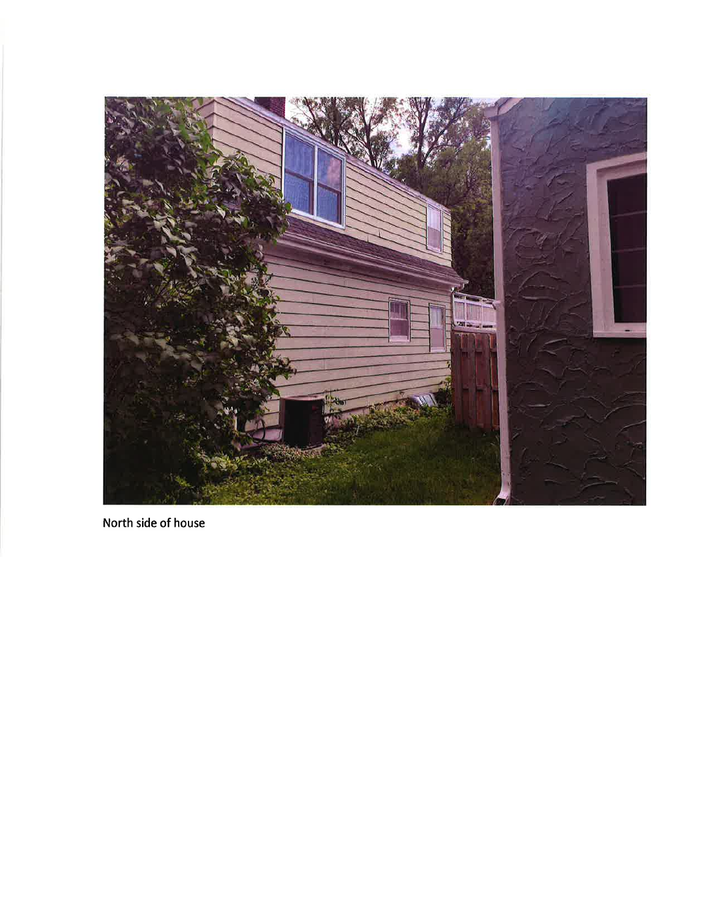

North side of house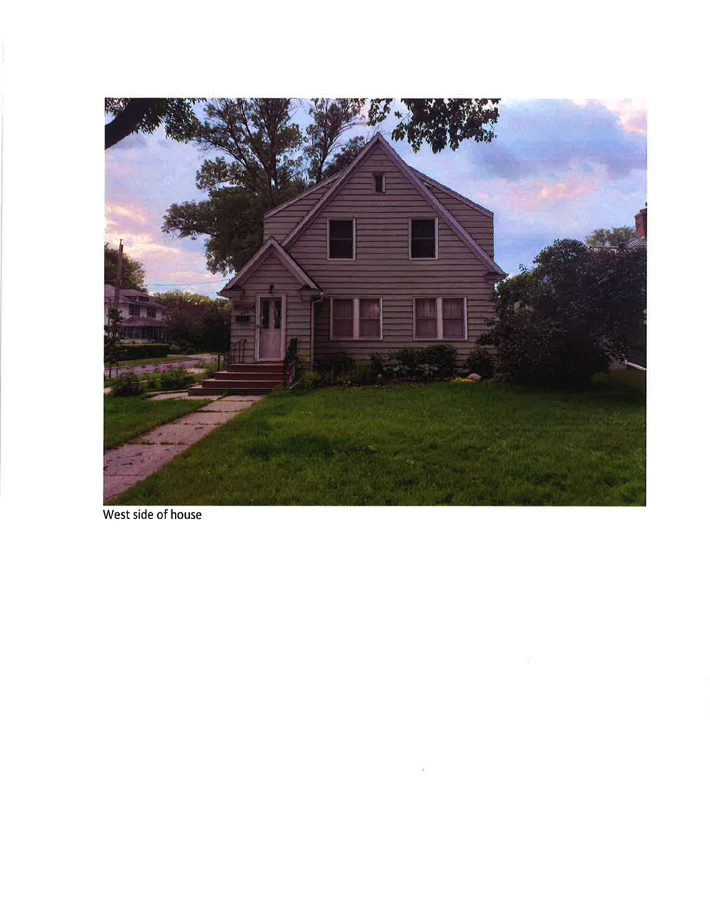

West side of house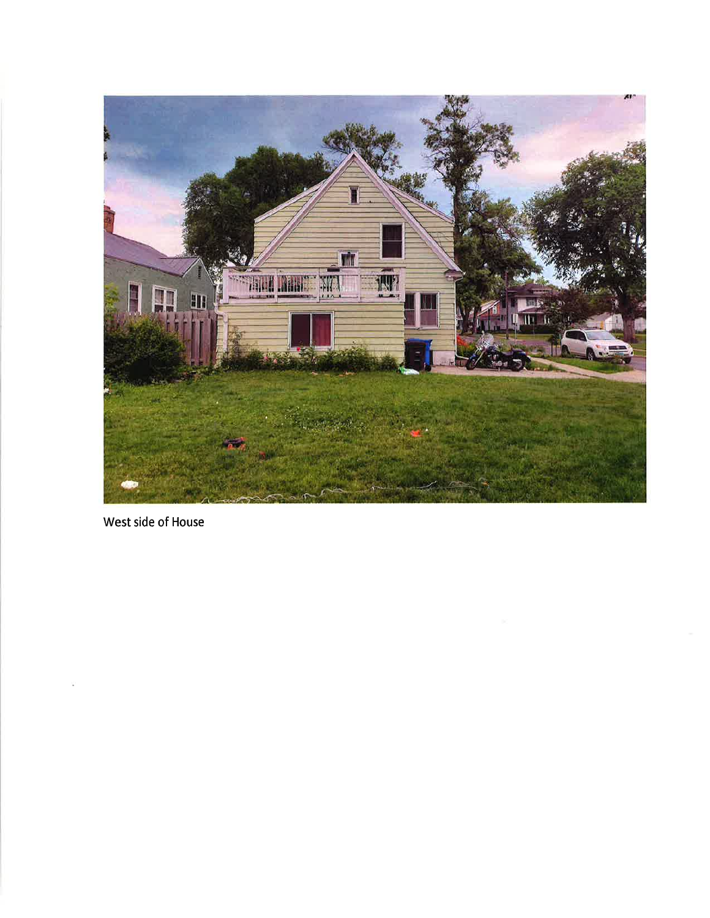

West side of House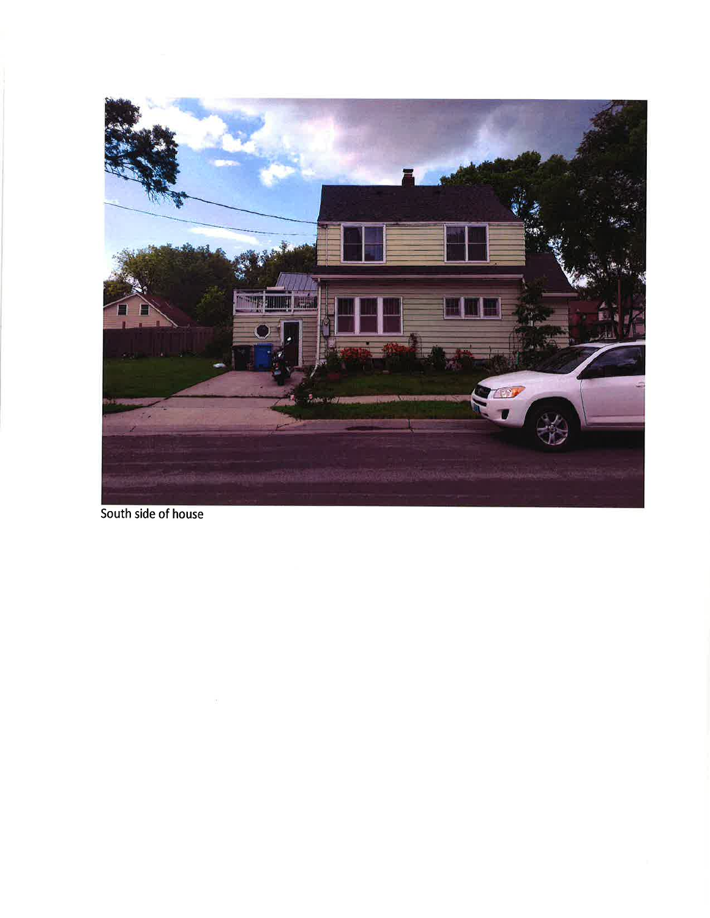

South side of house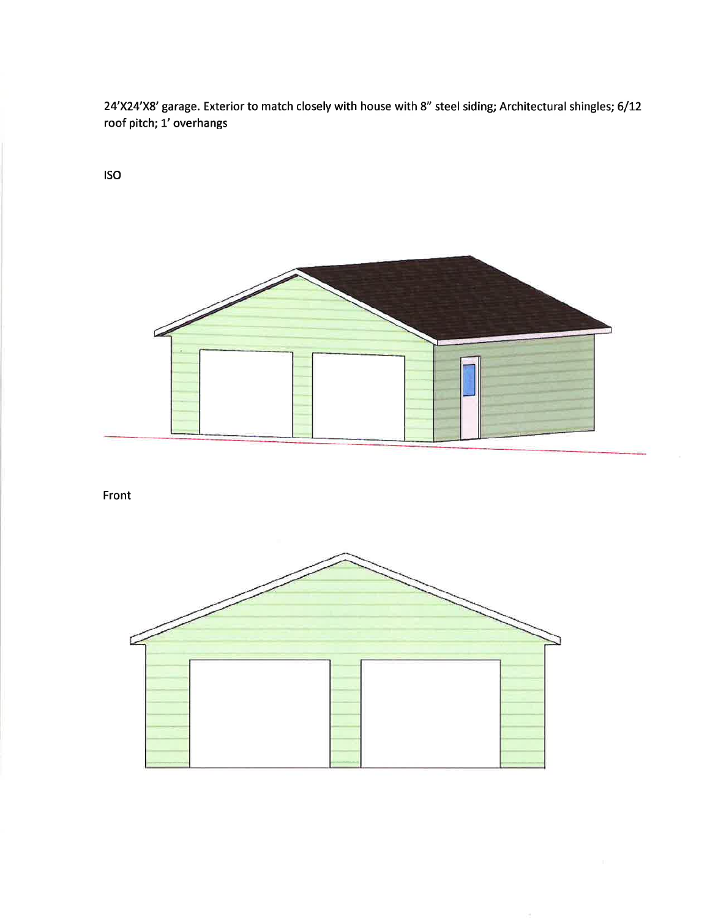24'X24'X8' garage. Exterior to match closely with house with 8" steel siding; Architectural shingles; 6/12 roof pitch; 1' overhangs

**ISO** 



Front

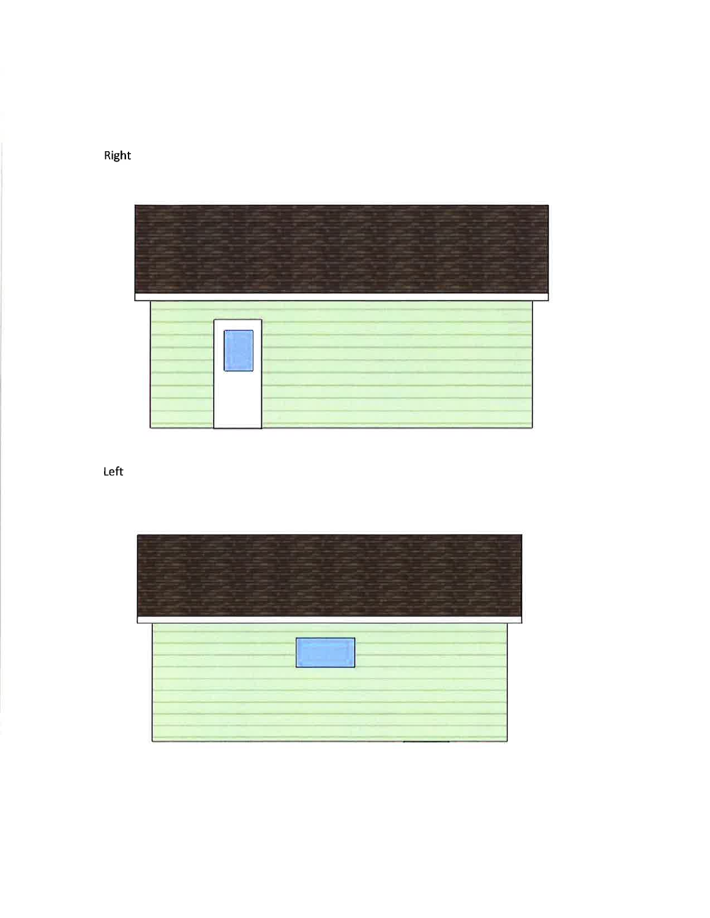

Left



Right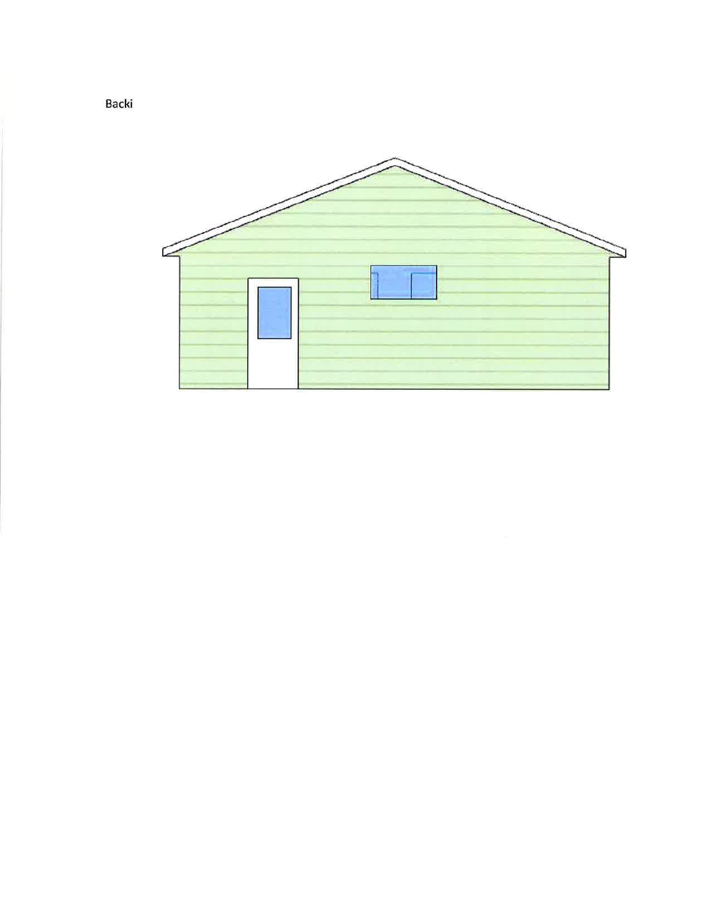

Backi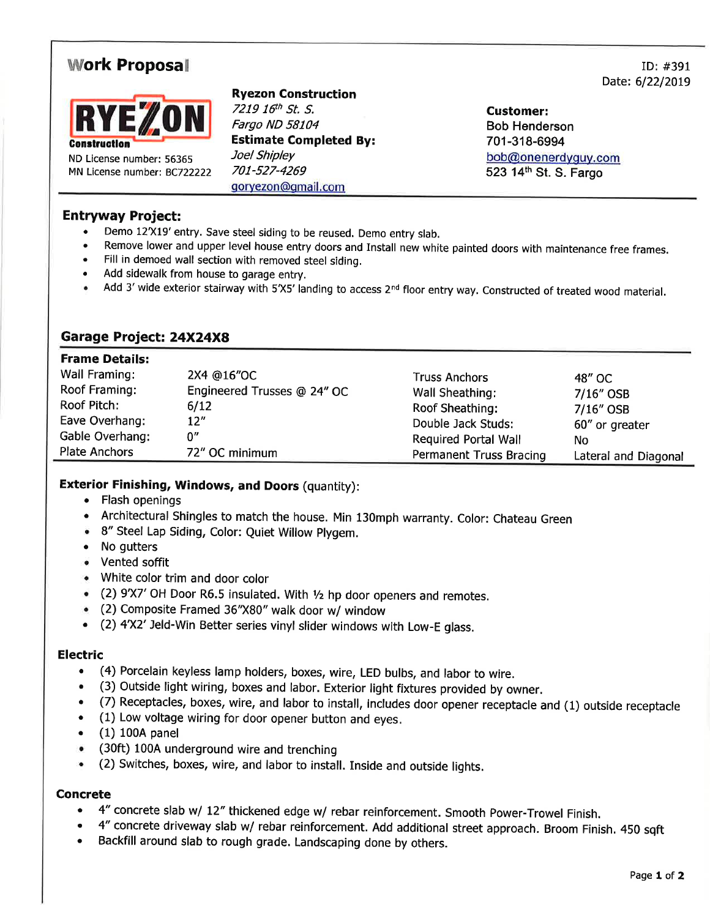# **Work Proposal**



ND License number: 56365 MN License number: BC722222

## **Ryezon Construction**

7219 16th St. S. Fargo ND 58104 **Estimate Completed By:** Joel Shipley 701-527-4269 goryezon@qmail.com

**Customer: Bob Henderson** 701-318-6994 bob@onenerdyguy.com 523 14th St. S. Fargo

# **Entryway Project:**

- Demo 12'X19' entry. Save steel siding to be reused. Demo entry slab.
- Remove lower and upper level house entry doors and Install new white painted doors with maintenance free frames.
- Fill in demoed wall section with removed steel siding.
- Add sidewalk from house to garage entry.
- Add 3' wide exterior stairway with 5'X5' landing to access 2<sup>nd</sup> floor entry way. Constructed of treated wood material.

## Garage Project: 24X24X8

#### **Frame Details:**

| .               |                             |                         |                      |
|-----------------|-----------------------------|-------------------------|----------------------|
| Wall Framing:   | 2X4 @16"OC                  | <b>Truss Anchors</b>    | 48" OC               |
| Roof Framing:   | Engineered Trusses @ 24" OC | Wall Sheathing:         | $7/16''$ OSB         |
| Roof Pitch:     | 6/12                        | Roof Sheathing:         | 7/16" OSB            |
| Eave Overhang:  | 12''                        | Double Jack Studs:      | 60" or greater       |
| Gable Overhang: | ስ"                          | Required Portal Wall    | No                   |
| Plate Anchors   | 72" OC minimum              | Permanent Truss Bracing | Lateral and Diagonal |

#### **Exterior Finishing, Windows, and Doors (quantity):**

- Flash openings
- Architectural Shingles to match the house. Min 130mph warranty. Color: Chateau Green
- 8" Steel Lap Siding, Color: Quiet Willow Plygem.
- No gutters
- Vented soffit
- White color trim and door color
- (2) 9'X7' OH Door R6.5 insulated. With 1/2 hp door openers and remotes.
- (2) Composite Framed 36"X80" walk door w/ window
- (2) 4'X2' Jeld-Win Better series vinyl slider windows with Low-E glass.

#### **Electric**

- (4) Porcelain keyless lamp holders, boxes, wire, LED bulbs, and labor to wire.  $\bullet$
- (3) Outside light wiring, boxes and labor. Exterior light fixtures provided by owner.
- (7) Receptacles, boxes, wire, and labor to install, includes door opener receptacle and (1) outside receptacle
- (1) Low voltage wiring for door opener button and eyes.
- $(1)$  100A panel
- (30ft) 100A underground wire and trenching
- (2) Switches, boxes, wire, and labor to install. Inside and outside lights.

#### **Concrete**

- 4" concrete slab w/ 12" thickened edge w/ rebar reinforcement. Smooth Power-Trowel Finish.
- 4" concrete driveway slab w/ rebar reinforcement. Add additional street approach. Broom Finish. 450 sqft
- Backfill around slab to rough grade. Landscaping done by others.

 $ID: #391$ Date: 6/22/2019